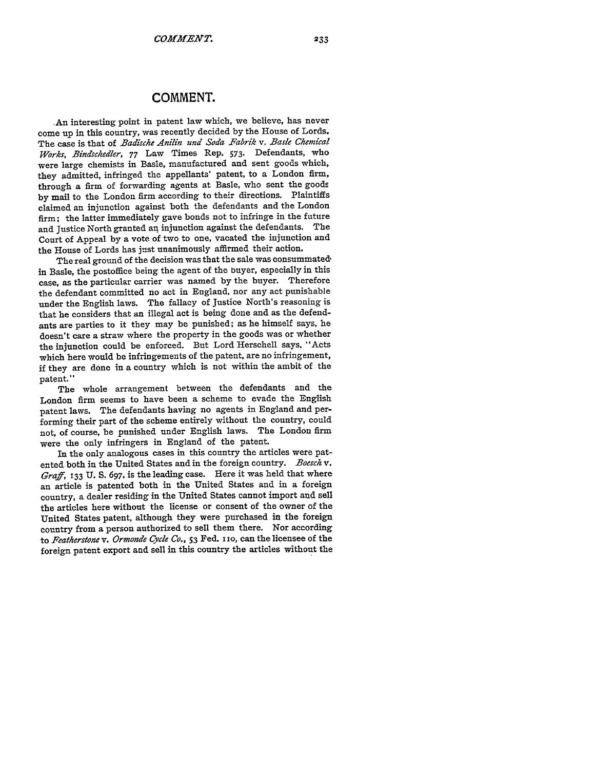## **COMMENT.**

An interesting point in patent law which, we believe, has never come up in this country, was recently decided by the House of Lords. The case is that of *Badische Anilin und Soda Fabrik v. Basle Chemical Works, Bindschedler,* 77 Law Times Rep. 573. Defendants, who were large chemists in Basle, manufactured and sent goods which, they admitted, infringed the appellants' patent, to a London firm, through a firm of forwarding agents at Basle, who sent the goods by mail to the London firm according to their directions. Plaintiffs claimed an injunction against both the defendants and the London firm; the latter immediately gave bonds not to infringe in the future and Justice North granted an injunction against the defendants. The Court of Appeal by a vote of two to one, vacated the injunction and the House of Lords has just unanimously affirmed their action.

The real ground of the decision was that the sale was consummated. in Basle, the postoffice being the agent of the buyer, especially in this case, as the particular carrier was named by the buyer. Therefore the defendant committed no act in England. nor any act punishable under the English laws. The fallacy of Justice North's reasoning is that he considers that an illegal act is being done and as the defendants are parties to it they may be punished; as he himself says, he doesn't care a straw where the property in the goods was or whether the injunction could be enforced. But Lord Herschell says. "Acts which here would be infringements of the patent, are no infringement, if they are done in a country which is not within the ambit of the patent."

The whole arrangement between the defendants and the London firm seems to have been a scheme to evade the English patent laws. The defendants having no agents in England and performing their part of the scheme entirely without the country, could not, of course, be punished under English laws. The London firm were the only infringers in England of the patent.

In the only analogous cases in this country the articles were patented both in the United States and in the foreign country. *Boesck v. Graff,* **133** U. S. 697, is the leading case. Here it was held that where an article is patented both in the United States and in a foreign country, a dealer residing in the United States cannot import and sell the articles here without the license or consent of the owner of the United States patent, although they were purchased in the foreign country from a person authorized to sell them there. Nor according to *Featherstone v. Ormonde Cyde Co.,* 53 Fed. i io, can the licensee of the foreign patent export and sell in this country the articles without the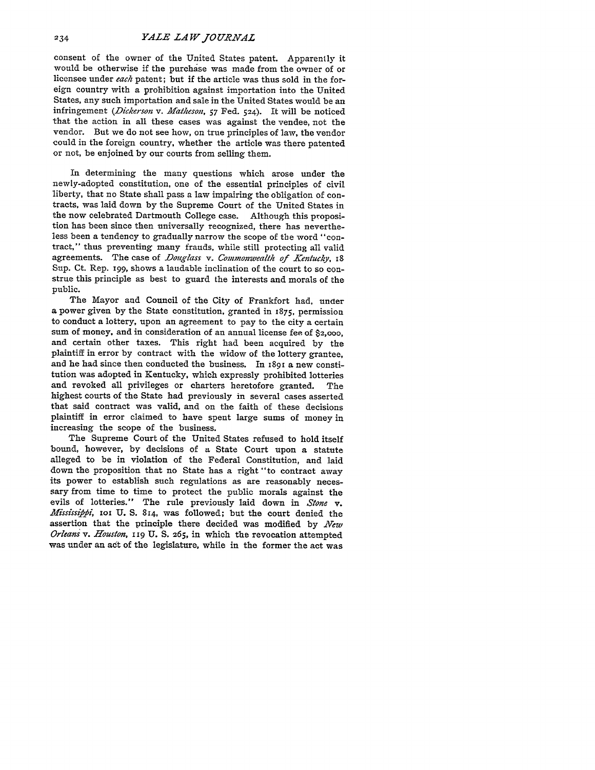consent of the owner of the United States patent. Apparently it would be otherwise if the purchase was made from the owner of or licensee under *each* patent; but if the article was thus sold in the foreign country with a prohibition against importation into the United infringement (Dickerson v. Matheson, 57 Fed. 524). It will be noticed that the action in all these cases was against the vendee, not the vendor. But we do not see how, on true principles of law, the vendor could in the foreign country, whether the article was there patented or not, be enjoined by our courts from selling them.

In determining the many questions which arose under the newly-adopted constitution, one of the essential principles of civil liberty, that no State shall pass a law impairing the obligation of contracts, was laid down by the Supreme Court of the United States in the now celebrated Dartmouth College case. Although this proposition has been since then universally recognized, there has nevertheless been a tendency to gradually narrow the scope of the word "contract," thus preventing many frauds, while still protecting all valid agreements. The case of *Douglass v. Commonwealth of Kentucky*, 18 Sup. Ct. Rep. **199,** shows a laudable inclination of the court to so construe this principle as best to guard the interests and morals of the public.

The Mayor and Council of the City of Frankfort had, under a power given by the State constitution, granted in 1875, permission to conduct a lottery, upon an agreement to pay to the city a certain sum of money, and in consideration of an annual license fee of **\$2,000,** and certain other taxes. This right had been acquired **by** the plaintiff in error by contract with the widow of the lottery grantee, and he had since then conducted the business. In 1891 a new constitution was adopted in Kentucky, which expressly prohibited lotteries and revoked all privileges or charters heretofore granted. The highest courts of the State had previously in several cases asserted that said contract was valid, and on the faith of these decisions plaintiff in error claimed to have spent large sums of money in increasing the scope of the business.

The Supreme Court of the United States refused to hold itself bound, however, **by** decisions of a State Court upon a statute alleged to be in violation of the Federal Constitution, and laid down the proposition that no State has a right "to contract away its power to establish such regulations as are reasonably necessary from time to time to protect the public morals against the evils of lotteries." The rule previously laid down in *Stone v. Mississippi*, **IOI U. S.** 814, was followed; but the court denied the assertion that the principle there decided was modified by *New Orleans v. Houston,* **I9 U. S.** 265, in which the revocation attempted was under an act of the legislature, while in the former the act was